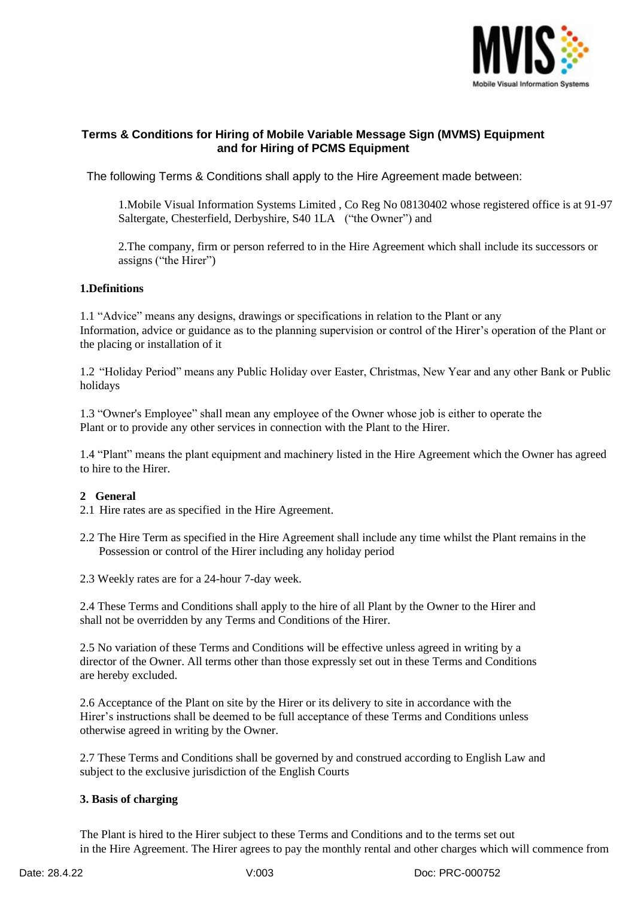

# **Terms & Conditions for Hiring of Mobile Variable Message Sign (MVMS) Equipment and for Hiring of PCMS Equipment**

The following Terms & Conditions shall apply to the Hire Agreement made between:

1.Mobile Visual Information Systems Limited , Co Reg No 08130402 whose registered office is at 91-97 Saltergate, Chesterfield, Derbyshire, S40 1LA ("the Owner") and

2.The company, firm or person referred to in the Hire Agreement which shall include its successors or assigns ("the Hirer")

#### **1.Definitions**

1.1 "Advice" means any designs, drawings or specifications in relation to the Plant or any Information, advice or guidance as to the planning supervision or control of the Hirer's operation of the Plant or the placing or installation of it

1.2 "Holiday Period" means any Public Holiday over Easter, Christmas, New Year and any other Bank or Public holidays

1.3 "Owner's Employee" shall mean any employee of the Owner whose job is either to operate the Plant or to provide any other services in connection with the Plant to the Hirer.

1.4 "Plant" means the plant equipment and machinery listed in the Hire Agreement which the Owner has agreed to hire to the Hirer.

## **2 General**

- 2.1 Hire rates are as specified in the Hire Agreement.
- 2.2 The Hire Term as specified in the Hire Agreement shall include any time whilst the Plant remains in the Possession or control of the Hirer including any holiday period
- 2.3 Weekly rates are for a 24-hour 7-day week.

2.4 These Terms and Conditions shall apply to the hire of all Plant by the Owner to the Hirer and shall not be overridden by any Terms and Conditions of the Hirer.

2.5 No variation of these Terms and Conditions will be effective unless agreed in writing by a director of the Owner. All terms other than those expressly set out in these Terms and Conditions are hereby excluded.

2.6 Acceptance of the Plant on site by the Hirer or its delivery to site in accordance with the Hirer's instructions shall be deemed to be full acceptance of these Terms and Conditions unless otherwise agreed in writing by the Owner.

2.7 These Terms and Conditions shall be governed by and construed according to English Law and subject to the exclusive jurisdiction of the English Courts

#### **3. Basis of charging**

The Plant is hired to the Hirer subject to these Terms and Conditions and to the terms set out in the Hire Agreement. The Hirer agrees to pay the monthly rental and other charges which will commence from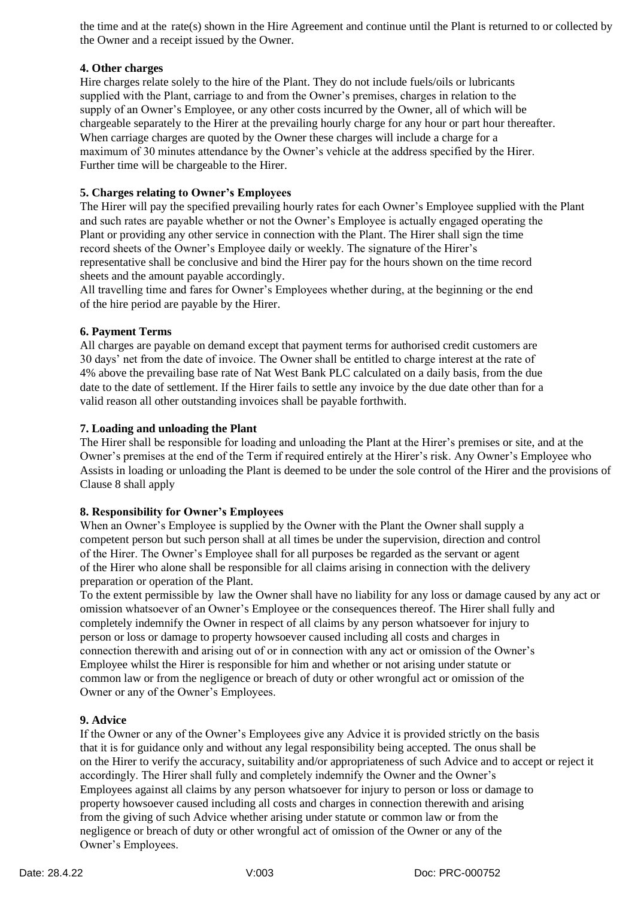the time and at the rate(s) shown in the Hire Agreement and continue until the Plant is returned to or collected by the Owner and a receipt issued by the Owner.

## **4. Other charges**

Hire charges relate solely to the hire of the Plant. They do not include fuels/oils or lubricants supplied with the Plant, carriage to and from the Owner's premises, charges in relation to the supply of an Owner's Employee, or any other costs incurred by the Owner, all of which will be chargeable separately to the Hirer at the prevailing hourly charge for any hour or part hour thereafter. When carriage charges are quoted by the Owner these charges will include a charge for a maximum of 30 minutes attendance by the Owner's vehicle at the address specified by the Hirer. Further time will be chargeable to the Hirer.

## **5. Charges relating to Owner's Employees**

The Hirer will pay the specified prevailing hourly rates for each Owner's Employee supplied with the Plant and such rates are payable whether or not the Owner's Employee is actually engaged operating the Plant or providing any other service in connection with the Plant. The Hirer shall sign the time record sheets of the Owner's Employee daily or weekly. The signature of the Hirer's representative shall be conclusive and bind the Hirer pay for the hours shown on the time record sheets and the amount payable accordingly.

All travelling time and fares for Owner's Employees whether during, at the beginning or the end of the hire period are payable by the Hirer.

### **6. Payment Terms**

All charges are payable on demand except that payment terms for authorised credit customers are 30 days' net from the date of invoice. The Owner shall be entitled to charge interest at the rate of 4% above the prevailing base rate of Nat West Bank PLC calculated on a daily basis, from the due date to the date of settlement. If the Hirer fails to settle any invoice by the due date other than for a valid reason all other outstanding invoices shall be payable forthwith.

### **7. Loading and unloading the Plant**

The Hirer shall be responsible for loading and unloading the Plant at the Hirer's premises or site, and at the Owner's premises at the end of the Term if required entirely at the Hirer's risk. Any Owner's Employee who Assists in loading or unloading the Plant is deemed to be under the sole control of the Hirer and the provisions of Clause 8 shall apply

### **8. Responsibility for Owner's Employees**

When an Owner's Employee is supplied by the Owner with the Plant the Owner shall supply a competent person but such person shall at all times be under the supervision, direction and control of the Hirer. The Owner's Employee shall for all purposes be regarded as the servant or agent of the Hirer who alone shall be responsible for all claims arising in connection with the delivery preparation or operation of the Plant.

To the extent permissible by law the Owner shall have no liability for any loss or damage caused by any act or omission whatsoever of an Owner's Employee or the consequences thereof. The Hirer shall fully and completely indemnify the Owner in respect of all claims by any person whatsoever for injury to person or loss or damage to property howsoever caused including all costs and charges in connection therewith and arising out of or in connection with any act or omission of the Owner's Employee whilst the Hirer is responsible for him and whether or not arising under statute or common law or from the negligence or breach of duty or other wrongful act or omission of the Owner or any of the Owner's Employees.

### **9. Advice**

If the Owner or any of the Owner's Employees give any Advice it is provided strictly on the basis that it is for guidance only and without any legal responsibility being accepted. The onus shall be on the Hirer to verify the accuracy, suitability and/or appropriateness of such Advice and to accept or reject it accordingly. The Hirer shall fully and completely indemnify the Owner and the Owner's Employees against all claims by any person whatsoever for injury to person or loss or damage to property howsoever caused including all costs and charges in connection therewith and arising from the giving of such Advice whether arising under statute or common law or from the negligence or breach of duty or other wrongful act of omission of the Owner or any of the Owner's Employees.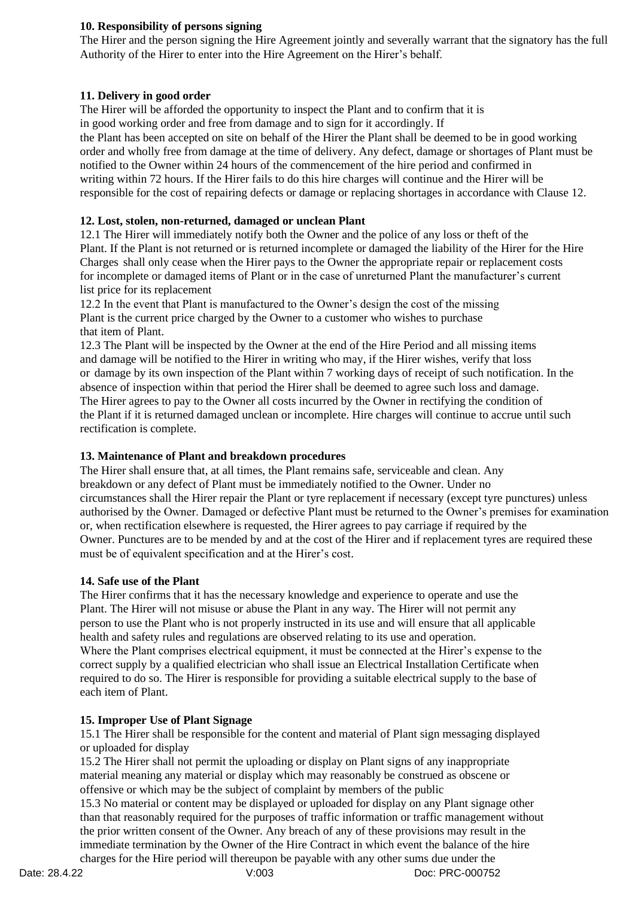### **10. Responsibility of persons signing**

The Hirer and the person signing the Hire Agreement jointly and severally warrant that the signatory has the full Authority of the Hirer to enter into the Hire Agreement on the Hirer's behalf.

#### **11. Delivery in good order**

The Hirer will be afforded the opportunity to inspect the Plant and to confirm that it is in good working order and free from damage and to sign for it accordingly. If the Plant has been accepted on site on behalf of the Hirer the Plant shall be deemed to be in good working order and wholly free from damage at the time of delivery. Any defect, damage or shortages of Plant must be notified to the Owner within 24 hours of the commencement of the hire period and confirmed in writing within 72 hours. If the Hirer fails to do this hire charges will continue and the Hirer will be

responsible for the cost of repairing defects or damage or replacing shortages in accordance with Clause 12.

#### **12. Lost, stolen, non-returned, damaged or unclean Plant**

12.1 The Hirer will immediately notify both the Owner and the police of any loss or theft of the Plant. If the Plant is not returned or is returned incomplete or damaged the liability of the Hirer for the Hire Charges shall only cease when the Hirer pays to the Owner the appropriate repair or replacement costs for incomplete or damaged items of Plant or in the case of unreturned Plant the manufacturer's current list price for its replacement

12.2 In the event that Plant is manufactured to the Owner's design the cost of the missing Plant is the current price charged by the Owner to a customer who wishes to purchase that item of Plant.

12.3 The Plant will be inspected by the Owner at the end of the Hire Period and all missing items and damage will be notified to the Hirer in writing who may, if the Hirer wishes, verify that loss or damage by its own inspection of the Plant within 7 working days of receipt of such notification. In the absence of inspection within that period the Hirer shall be deemed to agree such loss and damage. The Hirer agrees to pay to the Owner all costs incurred by the Owner in rectifying the condition of the Plant if it is returned damaged unclean or incomplete. Hire charges will continue to accrue until such rectification is complete.

### **13. Maintenance of Plant and breakdown procedures**

The Hirer shall ensure that, at all times, the Plant remains safe, serviceable and clean. Any breakdown or any defect of Plant must be immediately notified to the Owner. Under no circumstances shall the Hirer repair the Plant or tyre replacement if necessary (except tyre punctures) unless authorised by the Owner. Damaged or defective Plant must be returned to the Owner's premises for examination or, when rectification elsewhere is requested, the Hirer agrees to pay carriage if required by the Owner. Punctures are to be mended by and at the cost of the Hirer and if replacement tyres are required these must be of equivalent specification and at the Hirer's cost.

#### **14. Safe use of the Plant**

The Hirer confirms that it has the necessary knowledge and experience to operate and use the Plant. The Hirer will not misuse or abuse the Plant in any way. The Hirer will not permit any person to use the Plant who is not properly instructed in its use and will ensure that all applicable health and safety rules and regulations are observed relating to its use and operation. Where the Plant comprises electrical equipment, it must be connected at the Hirer's expense to the correct supply by a qualified electrician who shall issue an Electrical Installation Certificate when required to do so. The Hirer is responsible for providing a suitable electrical supply to the base of each item of Plant.

#### **15. Improper Use of Plant Signage**

15.1 The Hirer shall be responsible for the content and material of Plant sign messaging displayed or uploaded for display

15.2 The Hirer shall not permit the uploading or display on Plant signs of any inappropriate material meaning any material or display which may reasonably be construed as obscene or offensive or which may be the subject of complaint by members of the public

15.3 No material or content may be displayed or uploaded for display on any Plant signage other than that reasonably required for the purposes of traffic information or traffic management without the prior written consent of the Owner. Any breach of any of these provisions may result in the immediate termination by the Owner of the Hire Contract in which event the balance of the hire charges for the Hire period will thereupon be payable with any other sums due under the

Date: 28.4.22 V:003 Doc: PRC-000752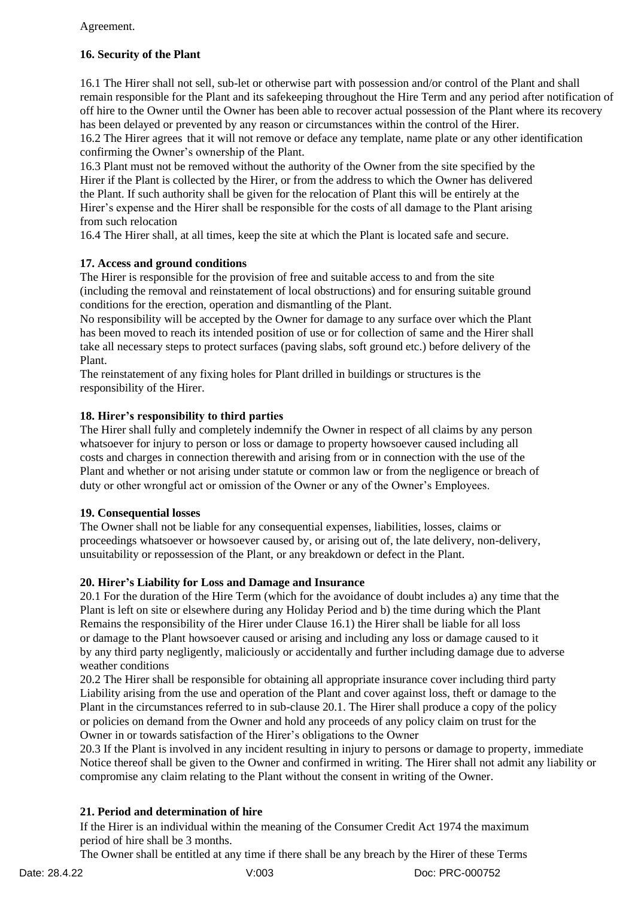## Agreement.

# **16. Security of the Plant**

16.1 The Hirer shall not sell, sub-let or otherwise part with possession and/or control of the Plant and shall remain responsible for the Plant and its safekeeping throughout the Hire Term and any period after notification of off hire to the Owner until the Owner has been able to recover actual possession of the Plant where its recovery has been delayed or prevented by any reason or circumstances within the control of the Hirer.

16.2 The Hirer agrees that it will not remove or deface any template, name plate or any other identification confirming the Owner's ownership of the Plant.

16.3 Plant must not be removed without the authority of the Owner from the site specified by the Hirer if the Plant is collected by the Hirer, or from the address to which the Owner has delivered the Plant. If such authority shall be given for the relocation of Plant this will be entirely at the Hirer's expense and the Hirer shall be responsible for the costs of all damage to the Plant arising from such relocation

16.4 The Hirer shall, at all times, keep the site at which the Plant is located safe and secure.

### **17. Access and ground conditions**

The Hirer is responsible for the provision of free and suitable access to and from the site (including the removal and reinstatement of local obstructions) and for ensuring suitable ground conditions for the erection, operation and dismantling of the Plant.

No responsibility will be accepted by the Owner for damage to any surface over which the Plant has been moved to reach its intended position of use or for collection of same and the Hirer shall take all necessary steps to protect surfaces (paving slabs, soft ground etc.) before delivery of the Plant.

The reinstatement of any fixing holes for Plant drilled in buildings or structures is the responsibility of the Hirer.

### **18. Hirer's responsibility to third parties**

The Hirer shall fully and completely indemnify the Owner in respect of all claims by any person whatsoever for injury to person or loss or damage to property howsoever caused including all costs and charges in connection therewith and arising from or in connection with the use of the Plant and whether or not arising under statute or common law or from the negligence or breach of duty or other wrongful act or omission of the Owner or any of the Owner's Employees.

#### **19. Consequential losses**

The Owner shall not be liable for any consequential expenses, liabilities, losses, claims or proceedings whatsoever or howsoever caused by, or arising out of, the late delivery, non-delivery, unsuitability or repossession of the Plant, or any breakdown or defect in the Plant.

### **20. Hirer's Liability for Loss and Damage and Insurance**

20.1 For the duration of the Hire Term (which for the avoidance of doubt includes a) any time that the Plant is left on site or elsewhere during any Holiday Period and b) the time during which the Plant Remains the responsibility of the Hirer under Clause 16.1) the Hirer shall be liable for all loss or damage to the Plant howsoever caused or arising and including any loss or damage caused to it by any third party negligently, maliciously or accidentally and further including damage due to adverse weather conditions

20.2 The Hirer shall be responsible for obtaining all appropriate insurance cover including third party Liability arising from the use and operation of the Plant and cover against loss, theft or damage to the Plant in the circumstances referred to in sub-clause 20.1. The Hirer shall produce a copy of the policy or policies on demand from the Owner and hold any proceeds of any policy claim on trust for the Owner in or towards satisfaction of the Hirer's obligations to the Owner

20.3 If the Plant is involved in any incident resulting in injury to persons or damage to property, immediate Notice thereof shall be given to the Owner and confirmed in writing. The Hirer shall not admit any liability or compromise any claim relating to the Plant without the consent in writing of the Owner.

### **21. Period and determination of hire**

If the Hirer is an individual within the meaning of the Consumer Credit Act 1974 the maximum period of hire shall be 3 months.

The Owner shall be entitled at any time if there shall be any breach by the Hirer of these Terms

Date: 28.4.22 V:003 Doc: PRC-000752